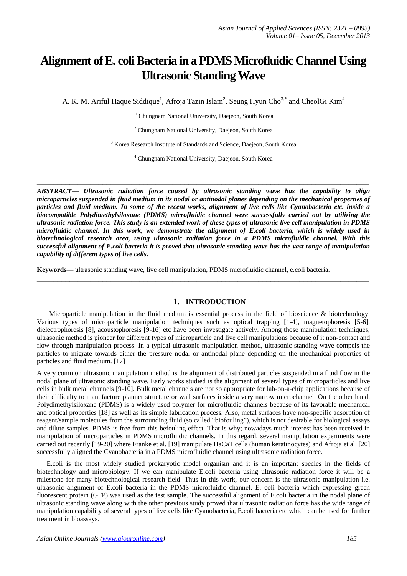# **Alignment of E. coli Bacteria in a PDMS Microfluidic Channel Using Ultrasonic Standing Wave**

A. K. M. Ariful Haque Siddique<sup>1</sup>, Afroja Tazin Islam<sup>2</sup>, Seung Hyun Cho<sup>3,\*</sup> and CheolGi Kim<sup>4</sup>

<sup>1</sup> Chungnam National University, Daejeon, South Korea

<sup>2</sup> Chungnam National University, Daejeon, South Korea

<sup>3</sup> Korea Research Institute of Standards and Science, Daejeon, South Korea

<sup>4</sup> Chungnam National University, Daejeon, South Korea

**\_\_\_\_\_\_\_\_\_\_\_\_\_\_\_\_\_\_\_\_\_\_\_\_\_\_\_\_\_\_\_\_\_\_\_\_\_\_\_\_\_\_\_\_\_\_\_\_\_\_\_\_\_\_\_\_\_\_\_\_\_\_\_\_\_\_\_\_\_\_\_\_\_\_\_\_\_\_\_\_\_**

*ABSTRACT— Ultrasonic radiation force caused by ultrasonic standing wave has the capability to align microparticles suspended in fluid medium in its nodal or antinodal planes depending on the mechanical properties of particles and fluid medium. In some of the recent works, alignment of live cells like Cyanobacteria etc. inside a biocompatible Polydimethylsiloxane (PDMS) microfluidic channel were successfully carried out by utilizing the ultrasonic radiation force. This study is an extended work of these types of ultrasonic live cell manipulation in PDMS microfluidic channel. In this work, we demonstrate the alignment of E.coli bacteria, which is widely used in biotechnological research area, using ultrasonic radiation force in a PDMS microfluidic channel. With this successful alignment of E.coli bacteria it is proved that ultrasonic standing wave has the vast range of manipulation capability of different types of live cells.*

**Keywords—** ultrasonic standing wave, live cell manipulation, PDMS microfluidic channel, e.coli bacteria.

#### **1. INTRODUCTION**

**\_\_\_\_\_\_\_\_\_\_\_\_\_\_\_\_\_\_\_\_\_\_\_\_\_\_\_\_\_\_\_\_\_\_\_\_\_\_\_\_\_\_\_\_\_\_\_\_\_\_\_\_\_\_\_\_\_\_\_\_\_\_\_\_\_\_\_\_\_\_\_\_\_\_\_\_\_\_\_\_\_**

Microparticle manipulation in the fluid medium is essential process in the field of bioscience & biotechnology. Various types of microparticle manipulation techniques such as optical trapping [1-4], magnetophoresis [5-6], dielectrophoresis [8], acoustophoresis [9-16] etc have been investigate actively. Among those manipulation techniques, ultrasonic method is pioneer for different types of microparticle and live cell manipulations because of it non-contact and flow-through manipulation process. In a typical ultrasonic manipulation method, ultrasonic standing wave compels the particles to migrate towards either the pressure nodal or antinodal plane depending on the mechanical properties of particles and fluid medium. [17]

A very common ultrasonic manipulation method is the alignment of distributed particles suspended in a fluid flow in the nodal plane of ultrasonic standing wave. Early works studied is the alignment of several types of microparticles and live cells in bulk metal channels [9-10]. Bulk metal channels are not so appropriate for lab-on-a-chip applications because of their difficulty to manufacture planner structure or wall surfaces inside a very narrow microchannel. On the other hand, Polydimethylsiloxane (PDMS) is a widely used polymer for microfluidic channels because of its favorable mechanical and optical properties [18] as well as its simple fabrication process. Also, metal surfaces have non-specific adsorption of reagent/sample molecules from the surrounding fluid (so called "biofouling"), which is not desirable for biological assays and dilute samples. PDMS is free from this befouling effect. That is why; nowadays much interest has been received in manipulation of microparticles in PDMS microfluidic channels. In this regard, several manipulation experiments were carried out recently [19-20] where Franke et al. [19] manipulate HaCaT cells (human keratinocytes) and Afroja et al. [20] successfully aligned the Cyanobacteria in a PDMS microfluidic channel using ultrasonic radiation force.

E.coli is the most widely studied [prokaryotic](http://en.wikipedia.org/wiki/Prokaryote) [model organism](http://en.wikipedia.org/wiki/Model_organism) and it is an important species in the fields of [biotechnology](http://en.wikipedia.org/wiki/Biotechnology) and [microbiology.](http://en.wikipedia.org/wiki/Microbiology) If we can manipulate E.coli bacteria using ultrasonic radiation force it will be a milestone for many biotechnological research field. Thus in this work, our concern is the ultrasonic manipulation i.e. ultrasonic alignment of E.coli bacteria in the PDMS microfluidic channel. E. coli bacteria which expressing green fluorescent protein (GFP) was used as the test sample. The successful alignment of E.coli bacteria in the nodal plane of ultrasonic standing wave along with the other previous study proved that ultrasonic radiation force has the wide range of manipulation capability of several types of live cells like Cyanobacteria, E.coli bacteria etc which can be used for further treatment in bioassays.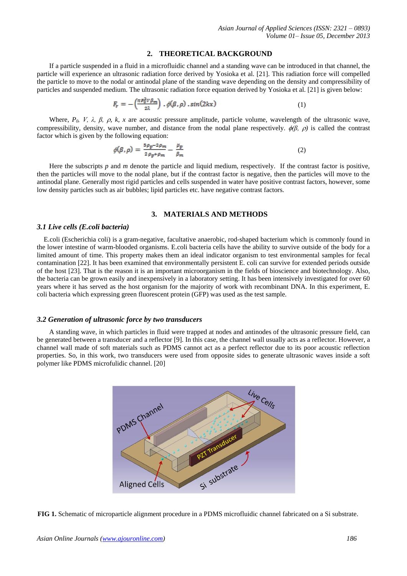#### **2. THEORETICAL BACKGROUND**

If a particle suspended in a fluid in a microfluidic channel and a standing wave can be introduced in that channel, the particle will experience an ultrasonic radiation force derived by Yosioka et al. [21]. This radiation force will compelled the particle to move to the nodal or antinodal plane of the standing wave depending on the density and compressibility of particles and suspended medium. The ultrasonic radiation force equation derived by Yosioka et al. [21] is given below:

$$
F_r = -\left(\frac{\pi \, p_0^2 v \, \beta_m}{2\lambda}\right) \cdot \phi(\beta, \rho) \cdot \sin(2kx) \tag{1}
$$

Where,  $P_0$ , V,  $\lambda$ ,  $\beta$ ,  $\beta$ ,  $\kappa$ , x are acoustic pressure amplitude, particle volume, wavelength of the ultrasonic wave, compressibility, density, wave number, and distance from the nodal plane respectively.  $\phi(\beta, \rho)$  is called the contrast factor which is given by the following equation:

$$
\phi(\beta,\rho) = \frac{5\rho_p - 2\rho_m}{2\rho_p + \rho_m} - \frac{\mu_p}{\beta_m} \tag{2}
$$

Here the subscripts *p* and *m* denote the particle and liquid medium, respectively. If the contrast factor is positive, then the particles will move to the nodal plane, but if the contrast factor is negative, then the particles will move to the antinodal plane. Generally most rigid particles and cells suspended in water have positive contrast factors, however, some low density particles such as air bubbles; lipid particles etc. have negative contrast factors.

## **3. MATERIALS AND METHODS**

#### *3.1 Live cells (E.coli bacteria)*

E.coli (Escherichia coli) is a [gram-negative,](http://en.wikipedia.org/wiki/Gram-negative) [facultative anaerobic,](http://en.wikipedia.org/wiki/Facultative_anaerobic_organism) [rod-shaped](http://en.wikipedia.org/wiki/Bacillus_%28shape%29) [bacterium](http://en.wikipedia.org/wiki/Bacterium) which is commonly found in the lower [intestine](http://en.wikipedia.org/wiki/Gastrointestinal_tract) of [warm-blooded](http://en.wikipedia.org/wiki/Warm-blooded) organisms. E.coli bacteria cells have the ability to survive outside of the body for a limited amount of time. This property makes them an ideal [indicator organism](http://en.wikipedia.org/wiki/Indicator_organism) to test environmental samples for [fecal](http://en.wikipedia.org/wiki/Feces)  [contamination \[](http://en.wikipedia.org/wiki/Feces)22]. It has been examined that environmentally persistent E. coli can survive for extended periods outside of the host [\[23\]](http://en.wikipedia.org/wiki/Escherichia_coli#cite_note-pmid21558695-10). That is the reason it is an important microorganism in the fields of bioscience and biotechnology. Also, the bacteria can be grown easily and inexpensively in a laboratory setting. It has been intensively investigated for over 60 years where it has served as the [host organism](http://en.wikipedia.org/wiki/Host_organism) for the majority of work with [recombinant DNA.](http://en.wikipedia.org/wiki/Recombinant_DNA) In this experiment, E. coli bacteria which expressing green fluorescent protein (GFP) was used as the test sample.

## *3.2 Generation of ultrasonic force by two transducers*

A standing wave, in which particles in fluid were trapped at nodes and antinodes of the ultrasonic pressure field, can be generated between a transducer and a reflector [9]. In this case, the channel wall usually acts as a reflector. However, a channel wall made of soft materials such as PDMS cannot act as a perfect reflector due to its poor acoustic reflection properties. So, in this work, two transducers were used from opposite sides to generate ultrasonic waves inside a soft polymer like PDMS microfulidic channel. [20]



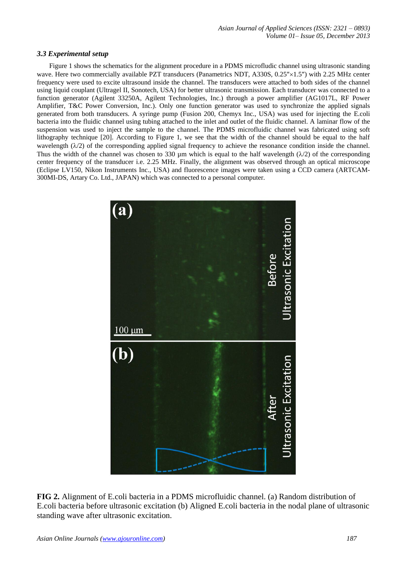## *3.3 Experimental setup*

Figure 1 shows the schematics for the alignment procedure in a PDMS microfludic channel using ultrasonic standing wave. Here two commercially available PZT transducers (Panametrics NDT, A330S, 0.25"×1.5") with 2.25 MHz center frequency were used to excite ultrasound inside the channel. The transducers were attached to both sides of the channel using liquid couplant (Ultragel II, Sonotech, USA) for better ultrasonic transmission. Each transducer was connected to a function generator (Agilent 33250A, Agilent Technologies, Inc.) through a power amplifier (AG1017L, RF Power Amplifier, T&C Power Conversion, Inc.). Only one function generator was used to synchronize the applied signals generated from both transducers. A syringe pump (Fusion 200, Chemyx Inc., USA) was used for injecting the E.coli bacteria into the fluidic channel using tubing attached to the inlet and outlet of the fluidic channel. A laminar flow of the suspension was used to inject the sample to the channel. The PDMS microfluidic channel was fabricated using soft lithography technique [20]. According to Figure 1, we see that the width of the channel should be equal to the half wavelength  $(\lambda/2)$  of the corresponding applied signal frequency to achieve the resonance condition inside the channel. Thus the width of the channel was chosen to 330 µm which is equal to the half wavelength  $(\lambda/2)$  of the corresponding center frequency of the transducer i.e. 2.25 MHz. Finally, the alignment was observed through an optical microscope (Eclipse LV150, Nikon Instruments Inc., USA) and fluorescence images were taken using a CCD camera (ARTCAM-300MI-DS, Artary Co. Ltd., JAPAN) which was connected to a personal computer.



**FIG 2.** Alignment of E.coli bacteria in a PDMS microfluidic channel. (a) Random distribution of E.coli bacteria before ultrasonic excitation (b) Aligned E.coli bacteria in the nodal plane of ultrasonic standing wave after ultrasonic excitation.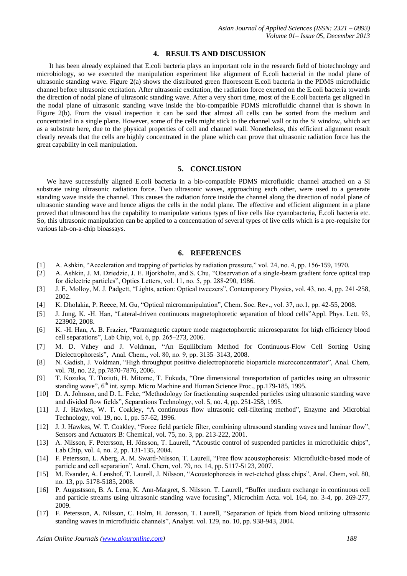#### **4. RESULTS AND DISCUSSION**

It has been already explained that E.coli bacteria plays an important role in the research field of biotechnology and microbiology, so we executed the manipulation experiment like alignment of E.coli bacterial in the nodal plane of ultrasonic standing wave. Figure 2(a) shows the distributed green fluorescent E.coli bacteria in the PDMS microfluidic channel before ultrasonic excitation. After ultrasonic excitation, the radiation force exerted on the E.coli bacteria towards the direction of nodal plane of ultrasonic standing wave. After a very short time, most of the E.coli bacteria get aligned in the nodal plane of ultrasonic standing wave inside the bio-compatible PDMS microfluidic channel that is shown in Figure 2(b). From the visual inspection it can be said that almost all cells can be sorted from the medium and concentrated in a single plane. However, some of the cells might stick to the channel wall or to the Si window, which act as a substrate here, due to the physical properties of cell and channel wall. Nonetheless, this efficient alignment result clearly reveals that the cells are highly concentrated in the plane which can prove that ultrasonic radiation force has the great capability in cell manipulation.

#### **5. CONCLUSION**

We have successfully aligned E.coli bacteria in a bio-compatible PDMS microfluidic channel attached on a Si substrate using ultrasonic radiation force. Two ultrasonic waves, approaching each other, were used to a generate standing wave inside the channel. This causes the radiation force inside the channel along the direction of nodal plane of ultrasonic standing wave and hence aligns the cells in the nodal plane. The effective and efficient alignment in a plane proved that ultrasound has the capability to manipulate various types of live cells like cyanobacteria, E.coli bacteria etc. So, this ultrasonic manipulation can be applied to a concentration of several types of live cells which is a pre-requisite for various lab-on-a-chip bioassays.

## **6. REFERENCES**

- [1] A. Ashkin, "Acceleration and trapping of particles by radiation pressure," vol. 24, no. 4, pp. 156-159, 1970.
- [2] A. Ashkin, J. M. Dziedzic, J. E. Bjorkholm, and S. Chu, "Observation of a single-beam gradient force optical trap for dielectric particles", Optics Letters, vol. 11, no. 5, pp. 288-290, 1986.
- [3] J. E. Molloy, M. J. Padgett, "Lights, action: Optical tweezers", Contemporary Physics, vol. 43, no. 4, pp. 241-258, 2002.
- [4] K. Dholakia, P. Reece, M. Gu, "Optical micromanipulation", Chem. Soc. Rev., vol. 37, no.1, pp. 42-55, 2008.
- [5] J. Jung, K. -H. Han, "Lateral-driven continuous magnetophoretic separation of blood cells"Appl. Phys. Lett. 93, 223902, 2008.
- [6] K. -H. Han, A. B. Frazier, "Paramagnetic capture mode magnetophoretic microseparator for high efficiency blood cell separations", Lab Chip, vol. 6, pp. 265–273, 2006.
- [7] M. D. Vahey and J. Voldman, ["An Equilibrium Method for Continuous-Flow Cell Sorting Using](http://pubs.acs.org/doi/abs/10.1021/ac7020568?prevSearch=%255BContrib%253A%2BVahey%255D&searchHistoryKey=) [Dielectrophoresis"](http://pubs.acs.org/doi/abs/10.1021/ac7020568?prevSearch=%255BContrib%253A%2BVahey%255D&searchHistoryKey=), Anal. Chem., vol. 80, no. 9, pp. 3135–3143, 2008.
- [8] N. Gadish, J. Voldman, "High throughput positive dielectrophoretic bioparticle microconcentrator", Anal. Chem, vol. 78, no. 22, pp.7870-7876, 2006.
- [9] T. Kozuka, T. Tuziuti, H. Mitome, T. Fukuda, "One dimensional transportation of particles using an ultrasonic standing wave", 6<sup>th</sup> int. symp. Micro Machine and Human Science Proc., pp.179-185, 1995.
- [10] D. A. Johnson, and D. L. Feke, "Methodology for fractionating suspended particles using ultrasonic standing wave and divided flow fields", Separations Technology, vol. 5, no. 4, pp. 251-258, 1995.
- [11] J. J. Hawkes, W. T. Coakley, "A continuous flow ultrasonic cell-filtering method", [Enzyme and Microbial](http://www.sciencedirect.com/science/journal/01410229)  [Technology,](http://www.sciencedirect.com/science/journal/01410229) vol. 19, no. 1, pp. 57-62, 1996.
- [12] J. J. Hawkes, W. T. Coakley, "Force field particle filter, combining ultrasound standing waves and laminar flow", [Sensors and Actuators B: Chemical,](http://www.sciencedirect.com/science/journal/09254005) vol. 75, no. 3, pp. 213-222, 2001.
- [13] A. Nilsson, F. Petersson, H. Jönsson, T. Laurell, ["Acoustic control of suspended particles in microfluidic chips"](http://www.elmat.lth.se/fileadmin/user_upload/Publications/04_LabChip_Nilsson.pdf), Lab Chip, vol. 4, no. 2, pp. 131-135, 2004.
- [14] F. Petersson, L. Aberg, A. M. Sward-Nilsson, T. Laurell, "Free flow acoustophoresis: Microfluidic-based mode of particle and cell separation", Anal. Chem, vol. 79, no. 14, pp. 5117-5123, 2007.
- [15] M. Evander, A. Lenshof, T. Laurell, J. Nilsson, "Acoustophoresis in wet-etched glass chips", Anal. Chem, vol. 80, no. 13, pp. 5178-5185, 2008.
- [16] P. Augustsson, B. A. Lena, K. Ann-Margret, S. Nilsson. T. Laurell, "Buffer medium [exchange in continuous cell](http://link.springer.com/article/10.1007/s00604-008-0084-4)  [and particle streams using ultrasonic standing wave focusing"](http://link.springer.com/article/10.1007/s00604-008-0084-4), Microchim Acta. vol. 164, no. 3-4, pp. 269-277, 2009.
- [17] F. Petersson, A. Nilsson, C. Holm, H. Jonsson, T. Laurell, "Separation of lipids from blood utilizing ultrasonic standing waves in microfluidic channels", Analyst. vol. 129, no. 10, pp. 938-943, 2004.